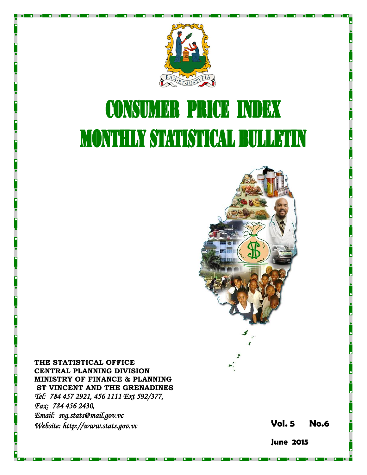

# **CONSUMER PRICE INDEX MONTHLY STATISTICAL BULLETIN**



**THE STATISTICAL OFFICE CENTRAL PLANNING DIVISION MINISTRY OF FINANCE & PLANNING ST VINCENT AND THE GRENADINES** *Tel: 784 457 2921, 456 1111 Ext 592/377, Fax: 784 456 2430, Email: svg.stats@mail.gov.vc Website: http://www.stats.gov.vc* **Vol.** 

**5 No. 6**

**June 2015**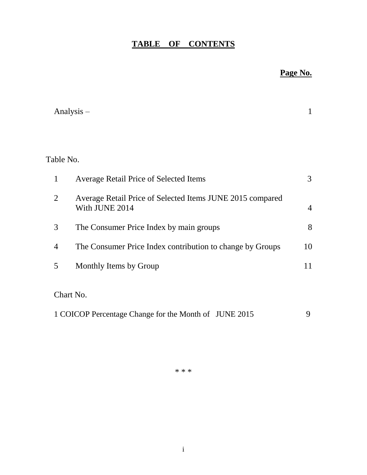# **TABLE OF CONTENTS**

# **Page No.**

|                | Analysis $-$                                                                | 1              |
|----------------|-----------------------------------------------------------------------------|----------------|
|                |                                                                             |                |
| Table No.      |                                                                             |                |
| $\mathbf{1}$   | <b>Average Retail Price of Selected Items</b>                               | 3              |
| $\overline{2}$ | Average Retail Price of Selected Items JUNE 2015 compared<br>With JUNE 2014 | $\overline{4}$ |
| 3              | The Consumer Price Index by main groups                                     | 8              |
| $\overline{4}$ | The Consumer Price Index contribution to change by Groups                   | 10             |
| 5              | Monthly Items by Group                                                      | 11             |
|                | Chart No.                                                                   |                |
|                | 1 COICOP Percentage Change for the Month of JUNE 2015                       | 9              |

\* \* \*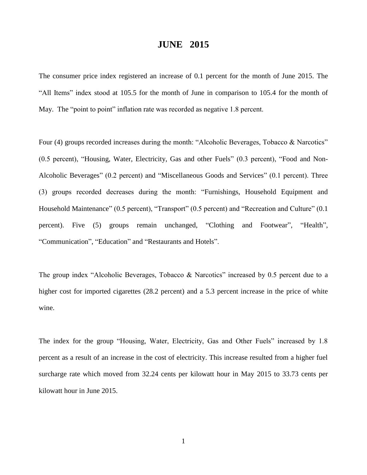## **JUNE 2015**

The consumer price index registered an increase of 0.1 percent for the month of June 2015. The "All Items" index stood at 105.5 for the month of June in comparison to 105.4 for the month of May. The "point to point" inflation rate was recorded as negative 1.8 percent.

Four (4) groups recorded increases during the month: "Alcoholic Beverages, Tobacco & Narcotics" (0.5 percent), "Housing, Water, Electricity, Gas and other Fuels" (0.3 percent), "Food and Non-Alcoholic Beverages" (0.2 percent) and "Miscellaneous Goods and Services" (0.1 percent). Three (3) groups recorded decreases during the month: "Furnishings, Household Equipment and Household Maintenance" (0.5 percent), "Transport" (0.5 percent) and "Recreation and Culture" (0.1 percent). Five (5) groups remain unchanged, "Clothing and Footwear", "Health", "Communication", "Education" and "Restaurants and Hotels".

The group index "Alcoholic Beverages, Tobacco & Narcotics" increased by 0.5 percent due to a higher cost for imported cigarettes (28.2 percent) and a 5.3 percent increase in the price of white wine.

The index for the group "Housing, Water, Electricity, Gas and Other Fuels" increased by 1.8 percent as a result of an increase in the cost of electricity. This increase resulted from a higher fuel surcharge rate which moved from 32.24 cents per kilowatt hour in May 2015 to 33.73 cents per kilowatt hour in June 2015.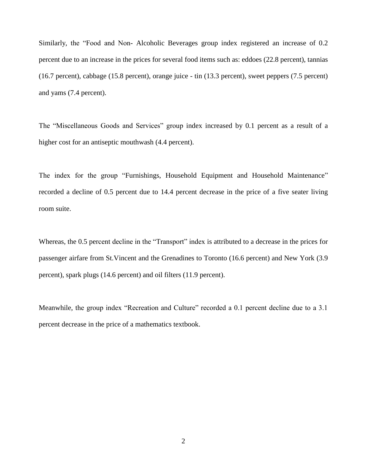Similarly, the "Food and Non- Alcoholic Beverages group index registered an increase of 0.2 percent due to an increase in the prices for several food items such as: eddoes (22.8 percent), tannias (16.7 percent), cabbage (15.8 percent), orange juice - tin (13.3 percent), sweet peppers (7.5 percent) and yams (7.4 percent).

The "Miscellaneous Goods and Services" group index increased by 0.1 percent as a result of a higher cost for an antiseptic mouthwash  $(4.4$  percent).

The index for the group "Furnishings, Household Equipment and Household Maintenance" recorded a decline of 0.5 percent due to 14.4 percent decrease in the price of a five seater living room suite.

Whereas, the 0.5 percent decline in the "Transport" index is attributed to a decrease in the prices for passenger airfare from St.Vincent and the Grenadines to Toronto (16.6 percent) and New York (3.9 percent), spark plugs (14.6 percent) and oil filters (11.9 percent).

Meanwhile, the group index "Recreation and Culture" recorded a 0.1 percent decline due to a 3.1 percent decrease in the price of a mathematics textbook.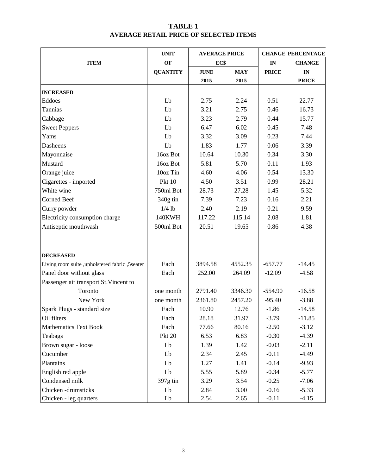## **TABLE 1 AVERAGE RETAIL PRICE OF SELECTED ITEMS**

|                                                | <b>UNIT</b>     | <b>AVERAGE PRICE</b> |            |              | <b>CHANGE PERCENTAGE</b> |
|------------------------------------------------|-----------------|----------------------|------------|--------------|--------------------------|
| <b>ITEM</b>                                    | OF              | EC\$                 |            | IN           | <b>CHANGE</b>            |
|                                                | <b>QUANTITY</b> | <b>JUNE</b>          | <b>MAY</b> | <b>PRICE</b> | $\mathbf{IN}$            |
|                                                |                 | 2015                 | 2015       |              | <b>PRICE</b>             |
| <b>INCREASED</b>                               |                 |                      |            |              |                          |
| Eddoes                                         | Lb              | 2.75                 | 2.24       | 0.51         | 22.77                    |
| Tannias                                        | Lb              | 3.21                 | 2.75       | 0.46         | 16.73                    |
| Cabbage                                        | Lb              | 3.23                 | 2.79       | 0.44         | 15.77                    |
| <b>Sweet Peppers</b>                           | Lb              | 6.47                 | 6.02       | 0.45         | 7.48                     |
| Yams                                           | Lb              | 3.32                 | 3.09       | 0.23         | 7.44                     |
| Dasheens                                       | Lb              | 1.83                 | 1.77       | 0.06         | 3.39                     |
| Mayonnaise                                     | 16oz Bot        | 10.64                | 10.30      | 0.34         | 3.30                     |
| Mustard                                        | 16oz Bot        | 5.81                 | 5.70       | 0.11         | 1.93                     |
| Orange juice                                   | 10oz Tin        | 4.60                 | 4.06       | 0.54         | 13.30                    |
| Cigarettes - imported                          | <b>Pkt 10</b>   | 4.50                 | 3.51       | 0.99         | 28.21                    |
| White wine                                     | 750ml Bot       | 28.73                | 27.28      | 1.45         | 5.32                     |
| <b>Corned Beef</b>                             | 340g tin        | 7.39<br>7.23         |            | 0.16         | 2.21                     |
| Curry powder                                   | $1/4$ lb        | 2.40                 | 2.19       | 0.21         | 9.59                     |
| Electricity consumption charge                 | 140KWH          | 117.22               | 115.14     | 2.08         | 1.81                     |
| Antiseptic mouthwash                           | 500ml Bot       | 20.51                | 19.65      | 0.86         | 4.38                     |
|                                                |                 |                      |            |              |                          |
| <b>DECREASED</b>                               |                 |                      |            |              |                          |
| Living room suite ,upholstered fabric ,5seater | Each            | 3894.58              | 4552.35    | $-657.77$    | $-14.45$                 |
| Panel door without glass                       | Each            | 252.00               | 264.09     | $-12.09$     | $-4.58$                  |
| Passenger air transport St. Vincent to         |                 |                      |            |              |                          |
| Toronto                                        | one month       | 2791.40              | 3346.30    | $-554.90$    | $-16.58$                 |
| New York                                       | one month       | 2361.80              | 2457.20    | $-95.40$     | $-3.88$                  |
| Spark Plugs - standard size                    | Each            | 10.90                | 12.76      | $-1.86$      | $-14.58$                 |
| Oil filters                                    | Each            | 28.18                | 31.97      | $-3.79$      | $-11.85$                 |
| <b>Mathematics Text Book</b>                   | Each            | 77.66                | 80.16      | $-2.50$      | $-3.12$                  |
| Teabags                                        | <b>Pkt 20</b>   | 6.53                 | 6.83       | $-0.30$      | $-4.39$                  |
| Brown sugar - loose                            | Lb              | 1.39                 | 1.42       | $-0.03$      | $-2.11$                  |
| Cucumber                                       | Lb              | 2.34                 | 2.45       | $-0.11$      | $-4.49$                  |
| Plantains                                      | Lb              | 1.27                 | 1.41       | $-0.14$      | $-9.93$                  |
| English red apple                              | Lb              | 5.55                 | 5.89       | $-0.34$      | $-5.77$                  |
| Condensed milk                                 | 397g tin        | 3.29                 | 3.54       | $-0.25$      | $-7.06$                  |
| Chicken -drumsticks                            | Lb              | 2.84                 | 3.00       | $-0.16$      | $-5.33$                  |
| Chicken - leg quarters                         | Lb              | 2.54                 | 2.65       | $-0.11$      | $-4.15$                  |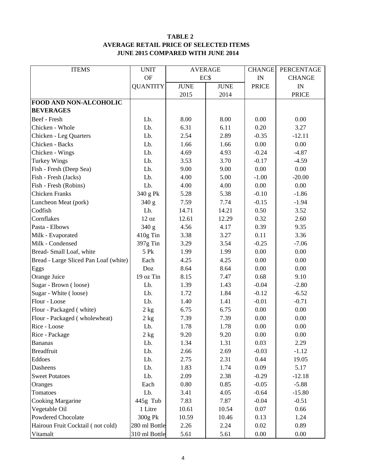#### **TABLE 2 AVERAGE RETAIL PRICE OF SELECTED ITEMS JUNE 2015 COMPARED WITH JUNE 2014**

| <b>ITEMS</b>                          | <b>UNIT</b>     | <b>AVERAGE</b> |             | <b>CHANGE</b> | PERCENTAGE    |
|---------------------------------------|-----------------|----------------|-------------|---------------|---------------|
|                                       | <b>OF</b>       | EC\$           |             | IN            | <b>CHANGE</b> |
|                                       | <b>QUANTITY</b> | <b>JUNE</b>    | <b>JUNE</b> | <b>PRICE</b>  | IN            |
|                                       |                 | 2015           | 2014        |               | <b>PRICE</b>  |
| FOOD AND NON-ALCOHOLIC                |                 |                |             |               |               |
| <b>BEVERAGES</b>                      |                 |                |             |               |               |
| Beef - Fresh                          | Lb.             | 8.00           | 8.00        | 0.00          | 0.00          |
| Chicken - Whole                       | Lb.             | 6.31           | 6.11        | 0.20          | 3.27          |
| Chicken - Leg Quarters                | Lb.             | 2.54           | 2.89        | $-0.35$       | $-12.11$      |
| Chicken - Backs                       | Lb.             | 1.66           | 1.66        | 0.00          | 0.00          |
| Chicken - Wings                       | Lb.             | 4.69           | 4.93        | $-0.24$       | $-4.87$       |
| <b>Turkey Wings</b>                   | Lb.             | 3.53           | 3.70        | $-0.17$       | $-4.59$       |
| Fish - Fresh (Deep Sea)               | Lb.             | 9.00           | 9.00        | 0.00          | 0.00          |
| Fish - Fresh (Jacks)                  | Lb.             | 4.00           | 5.00        | $-1.00$       | $-20.00$      |
| Fish - Fresh (Robins)                 | Lb.             | 4.00           | 4.00        | 0.00          | 0.00          |
| <b>Chicken Franks</b>                 | 340 g Pk        | 5.28           | 5.38        | $-0.10$       | $-1.86$       |
| Luncheon Meat (pork)                  | 340 g           | 7.59           | 7.74        | $-0.15$       | $-1.94$       |
| Codfish                               | Lb.             | 14.71          | 14.21       | 0.50          | 3.52          |
| Cornflakes                            | 12 oz           | 12.61          | 12.29       | 0.32          | 2.60          |
| Pasta - Elbows                        | 340 g           | 4.56           | 4.17        | 0.39          | 9.35          |
| Milk - Evaporated                     | 410g Tin        | 3.38           | 3.27        | 0.11          | 3.36          |
| Milk - Condensed                      | 397g Tin        | 3.29           | 3.54        | $-0.25$       | $-7.06$       |
| Bread-Small Loaf, white               | 5 Pk            | 1.99           | 1.99        | 0.00          | 0.00          |
| Bread - Large Sliced Pan Loaf (white) | Each            | 4.25           | 4.25        | 0.00          | 0.00          |
| Eggs                                  | Doz             | 8.64           | 8.64        | 0.00          | 0.00          |
| Orange Juice                          | 19 oz Tin       | 8.15           | 7.47        | 0.68          | 9.10          |
| Sugar - Brown (loose)                 | Lb.             | 1.39           | 1.43        | $-0.04$       | $-2.80$       |
| Sugar - White (loose)                 | Lb.             | 1.72           | 1.84        | $-0.12$       | $-6.52$       |
| Flour - Loose                         | Lb.             | 1.40           | 1.41        | $-0.01$       | $-0.71$       |
| Flour - Packaged (white)              | 2 kg            | 6.75           | 6.75        | 0.00          | 0.00          |
| Flour - Packaged (wholewheat)         | 2 kg            | 7.39           | 7.39        | 0.00          | 0.00          |
| Rice - Loose                          | Lb.             | 1.78           | 1.78        | 0.00          | 0.00          |
| Rice - Package                        | 2 kg            | 9.20           | 9.20        | 0.00          | 0.00          |
| <b>Bananas</b>                        | Lb.             | 1.34           | 1.31        | 0.03          | 2.29          |
| <b>Breadfruit</b>                     | Lb.             | 2.66           | 2.69        | $-0.03$       | $-1.12$       |
| Eddoes                                | Lb.             | 2.75           | 2.31        | 0.44          | 19.05         |
| Dasheens                              | Lb.             | 1.83           | 1.74        | 0.09          | 5.17          |
| <b>Sweet Potatoes</b>                 | Lb.             | 2.09           | 2.38        | $-0.29$       | $-12.18$      |
| Oranges                               | Each            | 0.80           | 0.85        | $-0.05$       | $-5.88$       |
| Tomatoes                              | Lb.             | 3.41           | 4.05        | $-0.64$       | $-15.80$      |
| <b>Cooking Margarine</b>              | 445g Tub        | 7.83           | 7.87        | $-0.04$       | $-0.51$       |
| Vegetable Oil                         | 1 Litre         | 10.61          | 10.54       | 0.07          | 0.66          |
| Powdered Chocolate                    | 300g Pk         | 10.59          | 10.46       | 0.13          | 1.24          |
| Hairoun Fruit Cocktail (not cold)     | 280 ml Bottle   | 2.26           | 2.24        | 0.02          | 0.89          |
| Vitamalt                              | 310 ml Bottle   | 5.61           | 5.61        | 0.00          | 0.00          |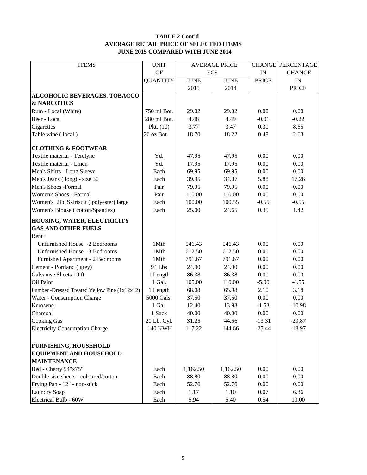#### **TABLE 2 Cont'd AVERAGE RETAIL PRICE OF SELECTED ITEMS JUNE 2015 COMPARED WITH JUNE 2014**

| <b>ITEMS</b>                                  | <b>UNIT</b>     | <b>AVERAGE PRICE</b> |             |              | <b>CHANGE PERCENTAGE</b> |
|-----------------------------------------------|-----------------|----------------------|-------------|--------------|--------------------------|
|                                               | <b>OF</b>       | EC\$                 |             | IN           | <b>CHANGE</b>            |
|                                               | <b>QUANTITY</b> | <b>JUNE</b>          | <b>JUNE</b> | <b>PRICE</b> | IN                       |
|                                               |                 | 2015                 | 2014        |              | <b>PRICE</b>             |
| <b>ALCOHOLIC BEVERAGES, TOBACCO</b>           |                 |                      |             |              |                          |
| <b>&amp; NARCOTICS</b>                        |                 |                      |             |              |                          |
| Rum - Local (White)                           | 750 ml Bot.     | 29.02                | 29.02       | 0.00         | 0.00                     |
| Beer - Local                                  | 280 ml Bot.     | 4.48                 | 4.49        | $-0.01$      | $-0.22$                  |
| Cigarettes                                    | Pkt. $(10)$     | 3.77                 | 3.47        | 0.30         | 8.65                     |
| Table wine (local)                            | 26 oz Bot.      | 18.70                | 18.22       | 0.48         | 2.63                     |
| <b>CLOTHING &amp; FOOTWEAR</b>                |                 |                      |             |              |                          |
| Textile material - Terelyne                   | Yd.             | 47.95                | 47.95       | 0.00         | 0.00                     |
| Textile material - Linen                      | Yd.             | 17.95                | 17.95       | 0.00         | 0.00                     |
| Men's Shirts - Long Sleeve                    | Each            | 69.95                | 69.95       | 0.00         | $0.00\,$                 |
| Men's Jeans (long) - size 30                  | Each            | 39.95                | 34.07       | 5.88         | 17.26                    |
| Men's Shoes -Formal                           | Pair            | 79.95                | 79.95       | 0.00         | 0.00                     |
| Women's Shoes - Formal                        | Pair            | 110.00               | 110.00      | 0.00         | 0.00                     |
| Women's 2Pc Skirtsuit (polyester) large       | Each            | 100.00               | 100.55      | $-0.55$      | $-0.55$                  |
| Women's Blouse (cotton/Spandex)               | Each            | 25.00                | 24.65       | 0.35         | 1.42                     |
| HOUSING, WATER, ELECTRICITY                   |                 |                      |             |              |                          |
| <b>GAS AND OTHER FUELS</b>                    |                 |                      |             |              |                          |
| Rent:                                         |                 |                      |             |              |                          |
| Unfurnished House -2 Bedrooms                 | 1Mth            | 546.43               | 546.43      | 0.00         | 0.00                     |
| Unfurnished House -3 Bedrooms                 | 1Mth            | 612.50               | 612.50      | 0.00         | 0.00                     |
| Furnished Apartment - 2 Bedrooms              | 1Mth            | 791.67               | 791.67      | 0.00         | 0.00                     |
| Cement - Portland (grey)                      | 94 Lbs          | 24.90                | 24.90       | 0.00         | 0.00                     |
| Galvanise Sheets 10 ft.                       | 1 Length        | 86.38                | 86.38       | 0.00         | 0.00                     |
| Oil Paint                                     | 1 Gal.          | 105.00               | 110.00      | $-5.00$      | $-4.55$                  |
| Lumber -Dressed Treated Yellow Pine (1x12x12) | 1 Length        | 68.08                | 65.98       | 2.10         | 3.18                     |
| Water - Consumption Charge                    | 5000 Gals.      | 37.50                | 37.50       | 0.00         | 0.00                     |
| Kerosene                                      | 1 Gal.          | 12.40                | 13.93       | $-1.53$      | $-10.98$                 |
| Charcoal                                      | 1 Sack          | 40.00                | 40.00       | 0.00         | 0.00                     |
| <b>Cooking Gas</b>                            | 20 Lb. Cyl.     | 31.25                | 44.56       | $-13.31$     | $-29.87$                 |
| <b>Electricity Consumption Charge</b>         | <b>140 KWH</b>  | 117.22               | 144.66      | $-27.44$     | $-18.97$                 |
| <b>FURNISHING, HOUSEHOLD</b>                  |                 |                      |             |              |                          |
| <b>EQUIPMENT AND HOUSEHOLD</b>                |                 |                      |             |              |                          |
| <b>MAINTENANCE</b>                            |                 |                      |             |              |                          |
| Bed - Cherry 54"x75"                          | Each            | 1,162.50             | 1,162.50    | 0.00         | 0.00                     |
| Double size sheets - coloured/cotton          | Each            | 88.80                | 88.80       | 0.00         | 0.00                     |
| Frying Pan - 12" - non-stick                  | Each            | 52.76                | 52.76       | 0.00         | 0.00                     |
| <b>Laundry Soap</b>                           | Each            | 1.17                 | 1.10        | 0.07         | 6.36                     |
| Electrical Bulb - 60W                         | Each            | 5.94                 | 5.40        | 0.54         | 10.00                    |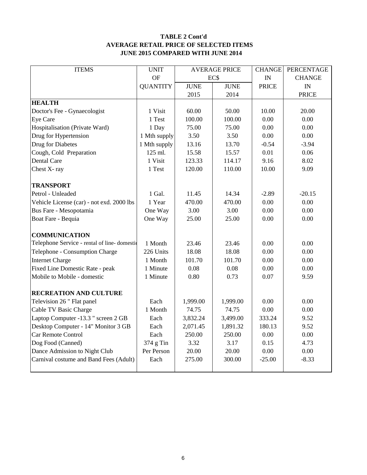### **TABLE 2 Cont'd AVERAGE RETAIL PRICE OF SELECTED ITEMS JUNE 2015 COMPARED WITH JUNE 2014**

| <b>ITEMS</b>                                | <b>UNIT</b>     | <b>AVERAGE PRICE</b> |             | <b>CHANGE</b> | <b>PERCENTAGE</b> |
|---------------------------------------------|-----------------|----------------------|-------------|---------------|-------------------|
|                                             | OF              |                      | EC\$        |               | <b>CHANGE</b>     |
|                                             | <b>QUANTITY</b> | <b>JUNE</b>          | <b>JUNE</b> | <b>PRICE</b>  | IN                |
|                                             |                 | 2015                 | 2014        |               | <b>PRICE</b>      |
| <b>HEALTH</b>                               |                 |                      |             |               |                   |
| Doctor's Fee - Gynaecologist                | 1 Visit         | 60.00                | 50.00       | 10.00         | 20.00             |
| Eye Care                                    | 1 Test          | 100.00               | 100.00      | 0.00          | 0.00              |
| Hospitalisation (Private Ward)              | 1 Day           | 75.00                | 75.00       | 0.00          | 0.00              |
| Drug for Hypertension                       | 1 Mth supply    | 3.50                 | 3.50        | 0.00          | 0.00              |
| Drug for Diabetes                           | 1 Mth supply    | 13.16                | 13.70       | $-0.54$       | $-3.94$           |
| Cough, Cold Preparation                     | 125 ml.         | 15.58                | 15.57       | 0.01          | 0.06              |
| Dental Care                                 | 1 Visit         | 123.33               | 114.17      | 9.16          | 8.02              |
| Chest X-ray                                 | 1 Test          | 120.00               | 110.00      | 10.00         | 9.09              |
|                                             |                 |                      |             |               |                   |
| <b>TRANSPORT</b>                            |                 |                      |             |               |                   |
| Petrol - Unleaded                           | 1 Gal.          | 11.45                | 14.34       | $-2.89$       | $-20.15$          |
| Vehicle License (car) - not exd. 2000 lbs   | 1 Year          | 470.00<br>470.00     |             | 0.00          | 0.00              |
| Bus Fare - Mesopotamia                      | One Way         | 3.00<br>3.00         |             | 0.00          | 0.00              |
| Boat Fare - Bequia                          | One Way         | 25.00                | 25.00       | 0.00          | 0.00              |
|                                             |                 |                      |             |               |                   |
| <b>COMMUNICATION</b>                        |                 |                      |             |               |                   |
| Telephone Service - rental of line-domestic | 1 Month         | 23.46                | 23.46       | 0.00          | 0.00              |
| Telephone - Consumption Charge              | 226 Units       | 18.08                | 18.08       | 0.00          | 0.00              |
| <b>Internet Charge</b>                      | 1 Month         | 101.70               | 101.70      | 0.00          | 0.00              |
| Fixed Line Domestic Rate - peak             | 1 Minute        | 0.08                 | 0.08        | 0.00          | 0.00              |
| Mobile to Mobile - domestic                 | 1 Minute        | 0.80                 | 0.73        | 0.07          | 9.59              |
|                                             |                 |                      |             |               |                   |
| <b>RECREATION AND CULTURE</b>               |                 |                      |             |               |                   |
| Television 26 " Flat panel                  | Each            | 1,999.00             | 1,999.00    | 0.00          | 0.00              |
| Cable TV Basic Charge                       | 1 Month         | 74.75                | 74.75       | 0.00          | 0.00              |
| Laptop Computer -13.3 " screen 2 GB         | Each            | 3,832.24             | 3,499.00    | 333.24        | 9.52              |
| Desktop Computer - 14" Monitor 3 GB         | Each            | 2,071.45             | 1,891.32    | 180.13        | 9.52              |
| Car Remote Control                          | Each            | 250.00               | 250.00      | 0.00          | 0.00              |
| Dog Food (Canned)                           | 374 g Tin       | 3.32                 | 3.17        | 0.15          | 4.73              |
| Dance Admission to Night Club               | Per Person      | 20.00                | 20.00       | 0.00          | 0.00              |
| Carnival costume and Band Fees (Adult)      | Each            | 275.00               | 300.00      | $-25.00$      | $-8.33$           |
|                                             |                 |                      |             |               |                   |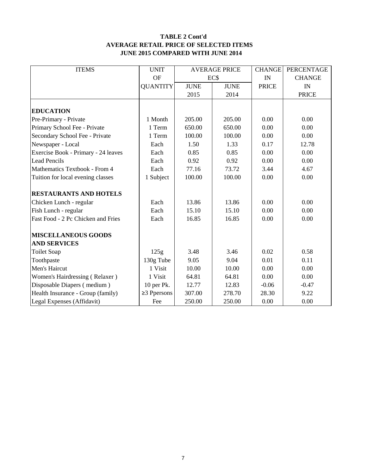#### **TABLE 2 Cont'd AVERAGE RETAIL PRICE OF SELECTED ITEMS JUNE 2015 COMPARED WITH JUNE 2014**

| <b>ITEMS</b>                        | <b>UNIT</b>       |             | <b>AVERAGE PRICE</b> | <b>CHANGE</b> | PERCENTAGE    |
|-------------------------------------|-------------------|-------------|----------------------|---------------|---------------|
|                                     | <b>OF</b>         | EC\$        |                      | IN            | <b>CHANGE</b> |
|                                     | <b>QUANTITY</b>   | <b>JUNE</b> | <b>JUNE</b>          | <b>PRICE</b>  | IN            |
|                                     |                   | 2015        | 2014                 |               | <b>PRICE</b>  |
|                                     |                   |             |                      |               |               |
| <b>EDUCATION</b>                    |                   |             |                      |               |               |
| Pre-Primary - Private               | 1 Month           | 205.00      | 205.00               | 0.00          | 0.00          |
| Primary School Fee - Private        | 1 Term            | 650.00      | 650.00               | 0.00          | 0.00          |
| Secondary School Fee - Private      | 1 Term            | 100.00      | 100.00               | 0.00          | 0.00          |
| Newspaper - Local                   | Each              | 1.50        | 1.33                 | 0.17          | 12.78         |
| Exercise Book - Primary - 24 leaves | Each              | 0.85        | 0.85                 | 0.00          | 0.00          |
| Lead Pencils                        | Each              | 0.92        | 0.92                 | 0.00          | 0.00          |
| Mathematics Textbook - From 4       | Each              | 77.16       | 73.72                | 3.44          | 4.67          |
| Tuition for local evening classes   | 1 Subject         | 100.00      | 100.00               | 0.00          | 0.00          |
| <b>RESTAURANTS AND HOTELS</b>       |                   |             |                      |               |               |
| Chicken Lunch - regular             | Each              | 13.86       | 13.86                | 0.00          | 0.00          |
| Fish Lunch - regular                | Each              | 15.10       | 15.10                | 0.00          | 0.00          |
| Fast Food - 2 Pc Chicken and Fries  | Each              | 16.85       | 16.85                | 0.00          | 0.00          |
| <b>MISCELLANEOUS GOODS</b>          |                   |             |                      |               |               |
| <b>AND SERVICES</b>                 |                   |             |                      |               |               |
| <b>Toilet Soap</b>                  | 125g              | 3.48        | 3.46                 | 0.02          | 0.58          |
| Toothpaste                          | 130g Tube         | 9.05        | 9.04                 | 0.01          | 0.11          |
| Men's Haircut                       | 1 Visit           | 10.00       | 10.00                | 0.00          | 0.00          |
| Women's Hairdressing (Relaxer)      | 1 Visit           | 64.81       | 64.81                | 0.00          | 0.00          |
| Disposable Diapers (medium)         | 10 per Pk.        | 12.77       | 12.83                | $-0.06$       | $-0.47$       |
| Health Insurance - Group (family)   | $\geq$ 3 Ppersons | 307.00      | 278.70               | 28.30         | 9.22          |
| Legal Expenses (Affidavit)          | Fee               | 250.00      | 250.00               | 0.00          | 0.00          |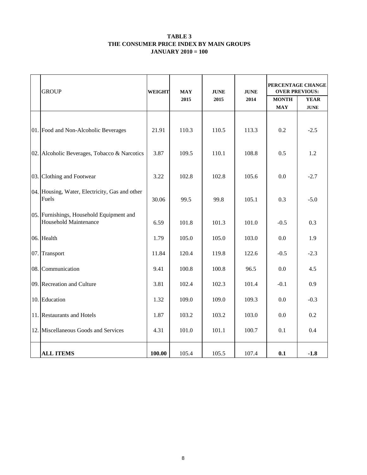#### **TABLE 3 THE CONSUMER PRICE INDEX BY MAIN GROUPS JANUARY 2010 = 100**

|     | <b>GROUP</b>                                                      |        | <b>WEIGHT</b><br><b>MAY</b><br>2015 |       | <b>JUNE</b><br>2014 | PERCENTAGE CHANGE<br><b>OVER PREVIOUS:</b><br><b>MONTH</b><br><b>YEAR</b> |             |  |
|-----|-------------------------------------------------------------------|--------|-------------------------------------|-------|---------------------|---------------------------------------------------------------------------|-------------|--|
|     |                                                                   |        |                                     |       |                     | <b>MAY</b>                                                                | <b>JUNE</b> |  |
|     | 01. Food and Non-Alcoholic Beverages                              | 21.91  | 110.3                               | 110.5 | 113.3               | 0.2                                                                       | $-2.5$      |  |
|     | 02. Alcoholic Beverages, Tobacco & Narcotics                      | 3.87   | 109.5                               | 110.1 | 108.8               | 0.5                                                                       | 1.2         |  |
| 03. | Clothing and Footwear                                             | 3.22   | 102.8                               | 102.8 | 105.6               | 0.0                                                                       | $-2.7$      |  |
|     | 04. Housing, Water, Electricity, Gas and other<br>Fuels           | 30.06  | 99.5                                | 99.8  | 105.1               | 0.3                                                                       | $-5.0$      |  |
|     | 05. Furnishings, Household Equipment and<br>Household Maintenance | 6.59   | 101.8                               | 101.3 | 101.0               | $-0.5$                                                                    | 0.3         |  |
|     | 06. Health                                                        | 1.79   | 105.0                               | 105.0 | 103.0               | 0.0                                                                       | 1.9         |  |
| 07. | Transport                                                         | 11.84  | 120.4                               | 119.8 | 122.6               | $-0.5$                                                                    | $-2.3$      |  |
| 08. | Communication                                                     | 9.41   | 100.8                               | 100.8 | 96.5                | 0.0                                                                       | 4.5         |  |
|     | 09. Recreation and Culture                                        | 3.81   | 102.4                               | 102.3 | 101.4               | $-0.1$                                                                    | 0.9         |  |
|     | 10. Education                                                     | 1.32   | 109.0                               | 109.0 | 109.3               | $0.0\,$                                                                   | $-0.3$      |  |
|     | 11. Restaurants and Hotels                                        | 1.87   | 103.2                               | 103.2 | 103.0               | 0.0                                                                       | 0.2         |  |
|     | 12. Miscellaneous Goods and Services                              | 4.31   | 101.0                               | 101.1 | 100.7               | 0.1                                                                       | 0.4         |  |
|     | <b>ALL ITEMS</b>                                                  | 100.00 | 105.4                               | 105.5 | 107.4               | 0.1                                                                       | $-1.8$      |  |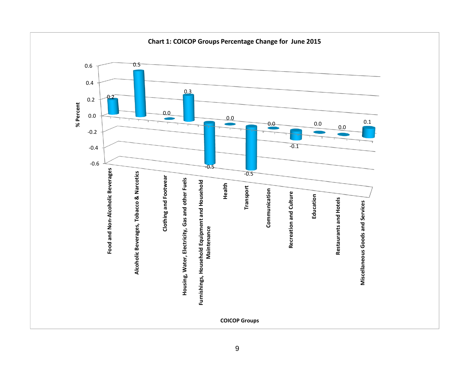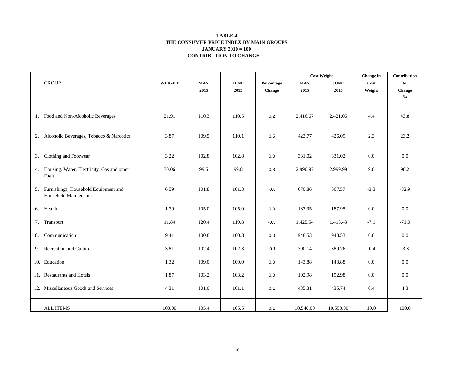#### **CONTRIBUTION TO CHANGE TABLE 4 THE CONSUMER PRICE INDEX BY MAIN GROUPS JANUARY 2010 = 100**

|    |                                            |               |            |             |            | <b>Cost Weight</b> |             | Change in | Contribution                       |
|----|--------------------------------------------|---------------|------------|-------------|------------|--------------------|-------------|-----------|------------------------------------|
|    | <b>GROUP</b>                               | <b>WEIGHT</b> | <b>MAY</b> | <b>JUNE</b> | Percentage | <b>MAY</b>         | <b>JUNE</b> | Cost      | to                                 |
|    |                                            |               | 2015       | 2015        | Change     | 2015               | 2015        | Weight    | Change                             |
|    |                                            |               |            |             |            |                    |             |           | $\mathbf{0}_{\mathbf{0}}^{\prime}$ |
|    |                                            |               |            |             |            |                    |             |           |                                    |
|    | 1. Food and Non-Alcoholic Beverages        | 21.91         | 110.3      | 110.5       | $0.2\,$    | 2,416.67           | 2,421.06    | 4.4       | 43.8                               |
|    |                                            |               |            |             |            |                    |             |           |                                    |
|    |                                            |               |            |             |            |                    |             |           |                                    |
| 2. | Alcoholic Beverages, Tobacco & Narcotics   | 3.87          | 109.5      | 110.1       | 0.5        | 423.77             | 426.09      | 2.3       | 23.2                               |
|    |                                            |               |            |             |            |                    |             |           |                                    |
| 3. | Clothing and Footwear                      | 3.22          | 102.8      | 102.8       | 0.0        | 331.02             | 331.02      | 0.0       | $0.0\,$                            |
|    |                                            |               |            |             |            |                    |             |           |                                    |
| 4. | Housing, Water, Electricity, Gas and other | 30.06         | 99.5       | 99.8        | 0.3        | 2,990.97           | 2,999.99    | 9.0       | 90.2                               |
|    | Fuels                                      |               |            |             |            |                    |             |           |                                    |
| 5. | Furnishings, Household Equipment and       | 6.59          | 101.8      | 101.3       | $-0.5$     | 670.86             | 667.57      | $-3.3$    | $-32.9$                            |
|    | Household Maintenance                      |               |            |             |            |                    |             |           |                                    |
| 6. | Health                                     | 1.79          | 105.0      | 105.0       | 0.0        | 187.95             | 187.95      | 0.0       | 0.0                                |
|    |                                            |               |            |             |            |                    |             |           |                                    |
| 7. | Transport                                  | 11.84         | 120.4      | 119.8       | $-0.5$     | 1,425.54           | 1,418.43    | $-7.1$    | $-71.0$                            |
|    |                                            |               |            |             |            |                    |             |           |                                    |
| 8. | Communication                              | 9.41          | 100.8      | 100.8       | $0.0\,$    | 948.53             | 948.53      | 0.0       | $0.0\,$                            |
| 9. | Recreation and Culture                     | 3.81          | 102.4      | 102.3       | $-0.1$     | 390.14             | 389.76      | $-0.4$    | $-3.8$                             |
|    |                                            |               |            |             |            |                    |             |           |                                    |
|    | 10. Education                              | 1.32          | 109.0      | 109.0       | 0.0        | 143.88             | 143.88      | 0.0       | 0.0                                |
|    | 11. Restaurants and Hotels                 | 1.87          | 103.2      | 103.2       | 0.0        | 192.98             | 192.98      | 0.0       | $0.0\,$                            |
|    |                                            |               |            |             |            |                    |             |           |                                    |
|    | 12. Miscellaneous Goods and Services       | 4.31          | 101.0      | 101.1       | 0.1        | 435.31             | 435.74      | 0.4       | 4.3                                |
|    |                                            |               |            |             |            |                    |             |           |                                    |
|    | <b>ALL ITEMS</b>                           | 100.00        | 105.4      | 105.5       | 0.1        | 10,540.00          | 10,550.00   | 10.0      | 100.0                              |